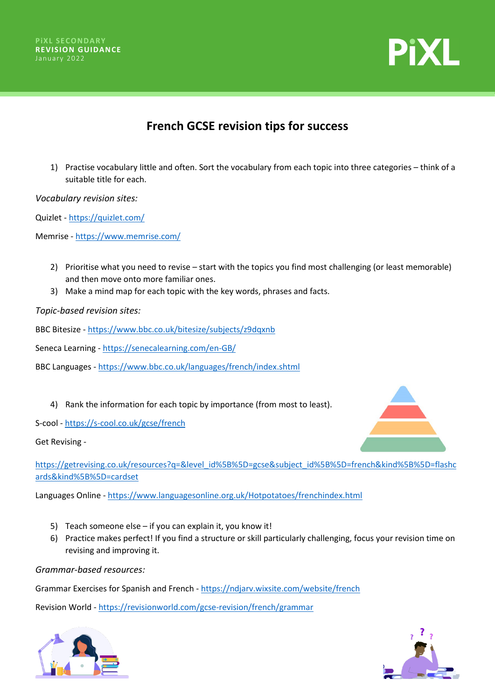



## **French GCSE revision tips for success**

1) Practise vocabulary little and often. Sort the vocabulary from each topic into three categories – think of a suitable title for each.

*Vocabulary revision sites:*

Quizlet - <https://quizlet.com/>

Memrise - <https://www.memrise.com/>

- 2) Prioritise what you need to revise start with the topics you find most challenging (or least memorable) and then move onto more familiar ones.
- 3) Make a mind map for each topic with the key words, phrases and facts.

*Topic-based revision sites:*

BBC Bitesize - <https://www.bbc.co.uk/bitesize/subjects/z9dqxnb>

Seneca Learning - <https://senecalearning.com/en-GB/>

BBC Languages - <https://www.bbc.co.uk/languages/french/index.shtml>

4) Rank the information for each topic by importance (from most to least).

S-cool - <https://s-cool.co.uk/gcse/french>

Get Revising -

[https://getrevising.co.uk/resources?q=&level\\_id%5B%5D=gcse&subject\\_id%5B%5D=french&kind%5B%5D=flashc](https://getrevising.co.uk/resources?q=&level_id%5B%5D=gcse&subject_id%5B%5D=french&kind%5B%5D=flashcards&kind%5B%5D=cardset) [ards&kind%5B%5D=cardset](https://getrevising.co.uk/resources?q=&level_id%5B%5D=gcse&subject_id%5B%5D=french&kind%5B%5D=flashcards&kind%5B%5D=cardset)

Languages Online - <https://www.languagesonline.org.uk/Hotpotatoes/frenchindex.html>

- 5) Teach someone else if you can explain it, you know it!
- 6) Practice makes perfect! If you find a structure or skill particularly challenging, focus your revision time on revising and improving it.

*Grammar-based resources:*

Grammar Exercises for Spanish and French - <https://ndjarv.wixsite.com/website/french>

Revision World - <https://revisionworld.com/gcse-revision/french/grammar>